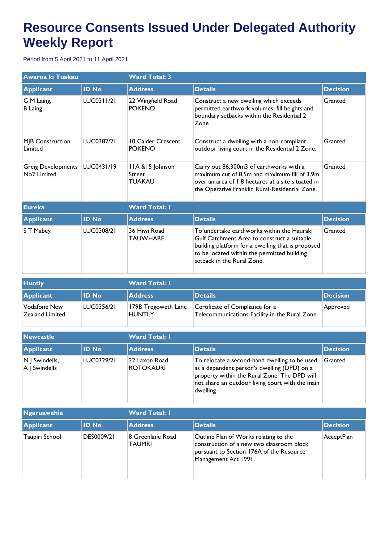## **Resource Consents Issued Under Delegated Authority Weekly Report**

Period from 5 April 2021 to 11 April 2021

| Awaroa ki Tuakau                                     |              | <b>Ward Total: 3</b>                        |                                                                                                                                                                                                                             |                 |  |
|------------------------------------------------------|--------------|---------------------------------------------|-----------------------------------------------------------------------------------------------------------------------------------------------------------------------------------------------------------------------------|-----------------|--|
| <b>Applicant</b>                                     | <b>ID No</b> | <b>Address</b>                              | <b>Details</b>                                                                                                                                                                                                              | <b>Decision</b> |  |
| G M Laing,<br><b>B</b> Laing                         | LUC0311/21   | 22 Wingfield Road<br><b>POKENO</b>          | Construct a new dwelling which exceeds<br>permitted earthwork volumes, fill heights and<br>boundary setbacks within the Residential 2<br>Zone                                                                               | Granted         |  |
| <b>MJB Construction</b><br>Limited                   | LUC0382/21   | 10 Calder Crescent<br><b>POKENO</b>         | Construct a dwelling with a non-compliant<br>outdoor living court in the Residential 2 Zone.                                                                                                                                | Granted         |  |
| <b>Greig Developments</b><br>No <sub>2</sub> Limited | LUC0431/19   | IIA & 15 Johnson<br>Street<br><b>TUAKAU</b> | Carry out 86,300m3 of earthworks with a<br>maximum cut of 8.5m and maximum fill of 3.9m<br>over an area of 1.8 hectares at a site situated in<br>the Operative Franklin Rural-Residential Zone.                             | Granted         |  |
| <b>Eureka</b>                                        |              | <b>Ward Total: I</b>                        |                                                                                                                                                                                                                             |                 |  |
| <b>Applicant</b>                                     | <b>ID No</b> | <b>Address</b>                              | <b>Details</b>                                                                                                                                                                                                              | <b>Decision</b> |  |
| S T Mabey                                            | LUC0308/21   | 36 Hiwi Road<br><b>TAUWHARE</b>             | To undertake earthworks within the Hauraki<br>Gulf Catchment Area to construct a suitable<br>building platform for a dwelling that is proposed<br>to be located within the permitted building<br>setback in the Rural Zone. | Granted         |  |

| <b>Huntly</b>                   |                   | <b>Ward Total: I</b>                 |                                                                                  |                  |  |
|---------------------------------|-------------------|--------------------------------------|----------------------------------------------------------------------------------|------------------|--|
| Applicant                       | <b>ID No</b>      | <b>Address</b>                       | Details                                                                          | <b>IDecision</b> |  |
| Vodafone New<br>Zealand Limited | <b>LUC0356/21</b> | 179B Tregoweth Lane<br><b>HUNTLY</b> | Certificate of Compliance for a<br>Telecommunications Facility in the Rural Zone | Approved         |  |

| <b>Newcastle</b>                |                   | <b>Ward Total: I</b>              |                                                                                                                                                                                                             |                 |  |
|---------------------------------|-------------------|-----------------------------------|-------------------------------------------------------------------------------------------------------------------------------------------------------------------------------------------------------------|-----------------|--|
| <b>Applicant</b>                | <b>ID No</b>      | <b>Address</b>                    | <b>Details</b>                                                                                                                                                                                              | <b>Decision</b> |  |
| N   Swindells,<br>A   Swindells | <b>LUC0329/21</b> | 22 Laxon Road<br><b>ROTOKAURI</b> | To relocate a second-hand dwelling to be used<br>as a dependent person's dwelling (DPD) on a<br>property within the Rural Zone. The DPD will<br>not share an outdoor living court with the main<br>dwelling | Granted         |  |

| <b>Ngaruawahia</b> |                   | <b>Ward Total: I</b>               |                                                                                                                                                        |                 |  |
|--------------------|-------------------|------------------------------------|--------------------------------------------------------------------------------------------------------------------------------------------------------|-----------------|--|
| Applicant          | <b>ID No</b>      | <b>Address</b>                     | Details                                                                                                                                                | <b>Decision</b> |  |
| Taupiri School     | <b>DES0009/21</b> | 8 Greenlane Road<br><b>TAUPIRI</b> | Outline Plan of Works relating to the<br>construction of a new two classroom block<br>pursuant to Section 176A of the Resource<br>Management Act 1991. | AcceptPlan      |  |